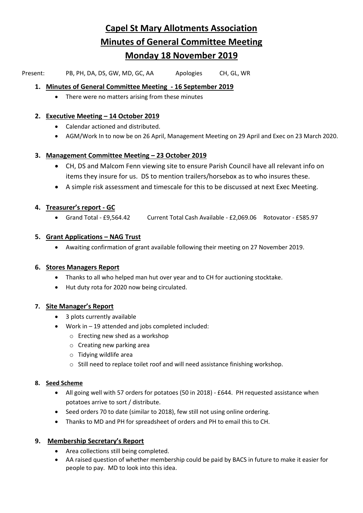# **Capel St Mary Allotments Association Minutes of General Committee Meeting Monday 18 November 2019**

Present: PB, PH, DA, DS, GW, MD, GC, AA Apologies CH, GL, WR

## **1. Minutes of General Committee Meeting - 16 September 2019**

• There were no matters arising from these minutes

## **2. Executive Meeting – 14 October 2019**

- Calendar actioned and distributed.
- AGM/Work In to now be on 26 April, Management Meeting on 29 April and Exec on 23 March 2020.

# **3. Management Committee Meeting – 23 October 2019**

- CH, DS and Malcom Fenn viewing site to ensure Parish Council have all relevant info on items they insure for us. DS to mention trailers/horsebox as to who insures these.
- A simple risk assessment and timescale for this to be discussed at next Exec Meeting.

# **4. Treasurer's report - GC**

• Grand Total - £9,564.42 Current Total Cash Available - £2,069.06 Rotovator - £585.97

# **5. Grant Applications – NAG Trust**

• Awaiting confirmation of grant available following their meeting on 27 November 2019.

## **6. Stores Managers Report**

- Thanks to all who helped man hut over year and to CH for auctioning stocktake.
- Hut duty rota for 2020 now being circulated.

## **7. Site Manager's Report**

- 3 plots currently available
- Work in 19 attended and jobs completed included:
	- o Erecting new shed as a workshop
	- o Creating new parking area
	- o Tidying wildlife area
	- $\circ$  Still need to replace toilet roof and will need assistance finishing workshop.

## **8. Seed Scheme**

- All going well with 57 orders for potatoes (50 in 2018) £644. PH requested assistance when potatoes arrive to sort / distribute.
- Seed orders 70 to date (similar to 2018), few still not using online ordering.
- Thanks to MD and PH for spreadsheet of orders and PH to email this to CH.

# **9. Membership Secretary's Report**

- Area collections still being completed.
- AA raised question of whether membership could be paid by BACS in future to make it easier for people to pay. MD to look into this idea.